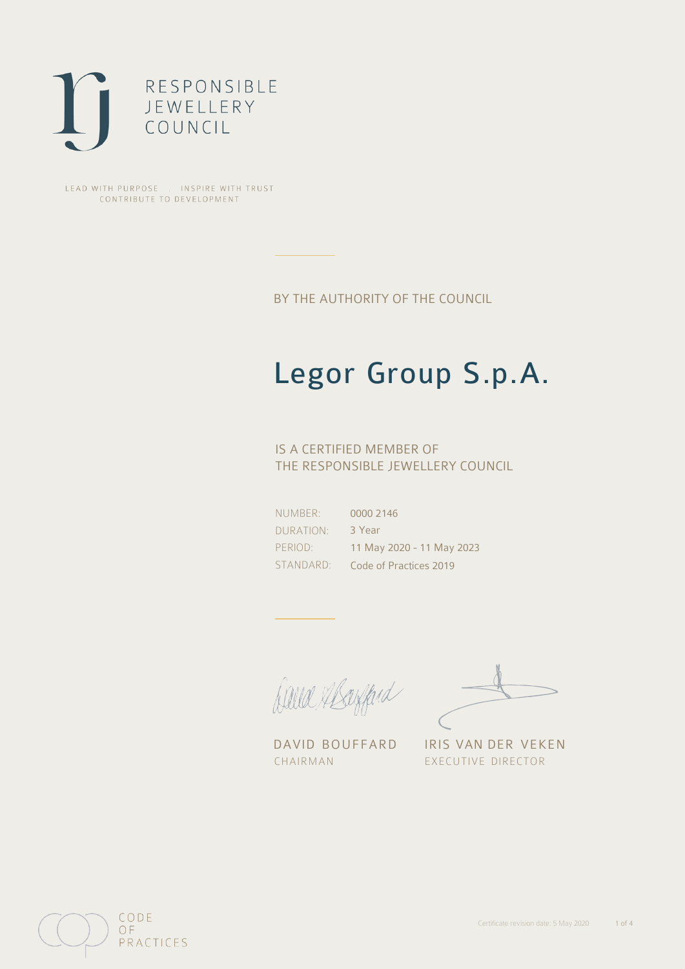

LEAD WITH PURPOSE . INSPIRE WITH TRUST CONTRIBUTE TO DEVELOPMENT

BY THE AUTHORITY OF THE COUNCIL

## Legor Group S.p.A.

### IS A CERTIFIED MEMBER OF THE RESPONSIBLE JEWELLERY COUNCIL

NUMBER: DURATION: PERIOD: STANDARD:

0000 2146 3 Year 11 May 2020 - 11 May 2023 Code of Practices 2019

Balla Staffard

DAVID BOUFFARD IRIS VAN DER VEKEN CHAIRMAN EXECUTIVE DIRECTOR

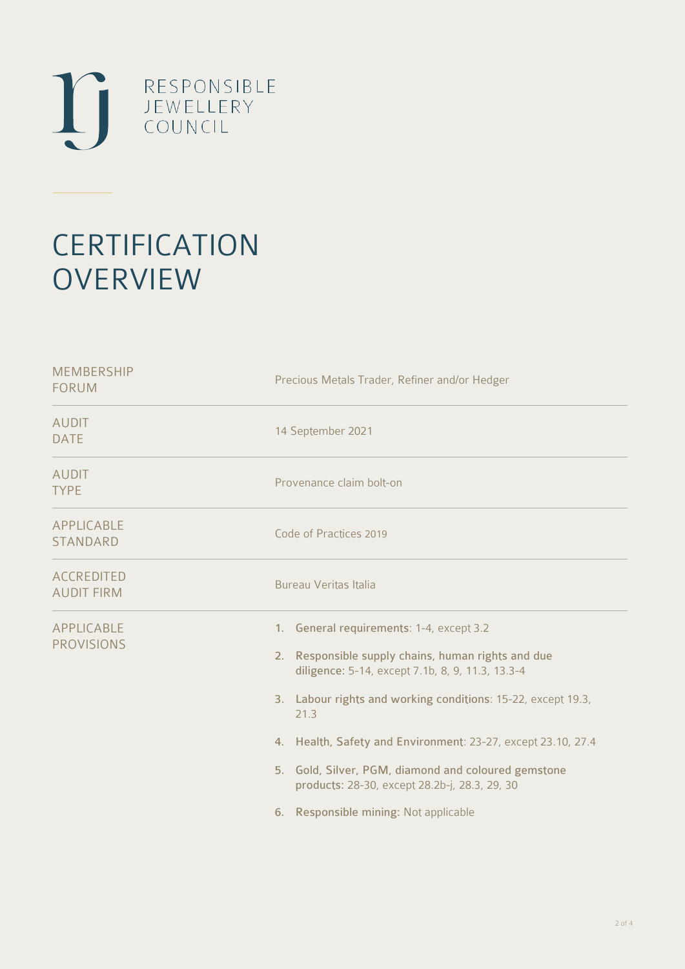

# **CERTIFICATION OVERVIEW**

| <b>MEMBERSHIP</b><br><b>FORUM</b>      | Precious Metals Trader, Refiner and/or Hedger                                                                                                                                                                                                                                                                                                                                                                                               |  |  |
|----------------------------------------|---------------------------------------------------------------------------------------------------------------------------------------------------------------------------------------------------------------------------------------------------------------------------------------------------------------------------------------------------------------------------------------------------------------------------------------------|--|--|
| <b>AUDIT</b><br><b>DATE</b>            | 14 September 2021                                                                                                                                                                                                                                                                                                                                                                                                                           |  |  |
| <b>AUDIT</b><br><b>TYPE</b>            | Provenance claim bolt-on                                                                                                                                                                                                                                                                                                                                                                                                                    |  |  |
| <b>APPLICABLE</b><br><b>STANDARD</b>   | Code of Practices 2019                                                                                                                                                                                                                                                                                                                                                                                                                      |  |  |
| <b>ACCREDITED</b><br><b>AUDIT FIRM</b> | <b>Bureau Veritas Italia</b>                                                                                                                                                                                                                                                                                                                                                                                                                |  |  |
| <b>APPLICABLE</b><br><b>PROVISIONS</b> | 1. General requirements: 1-4, except 3.2<br>2. Responsible supply chains, human rights and due<br>diligence: 5-14, except 7.1b, 8, 9, 11.3, 13.3-4<br>3. Labour rights and working conditions: 15-22, except 19.3,<br>21.3<br>4. Health, Safety and Environment: 23-27, except 23.10, 27.4<br>5. Gold, Silver, PGM, diamond and coloured gemstone<br>products: 28-30, except 28.2b-j, 28.3, 29, 30<br>6. Responsible mining: Not applicable |  |  |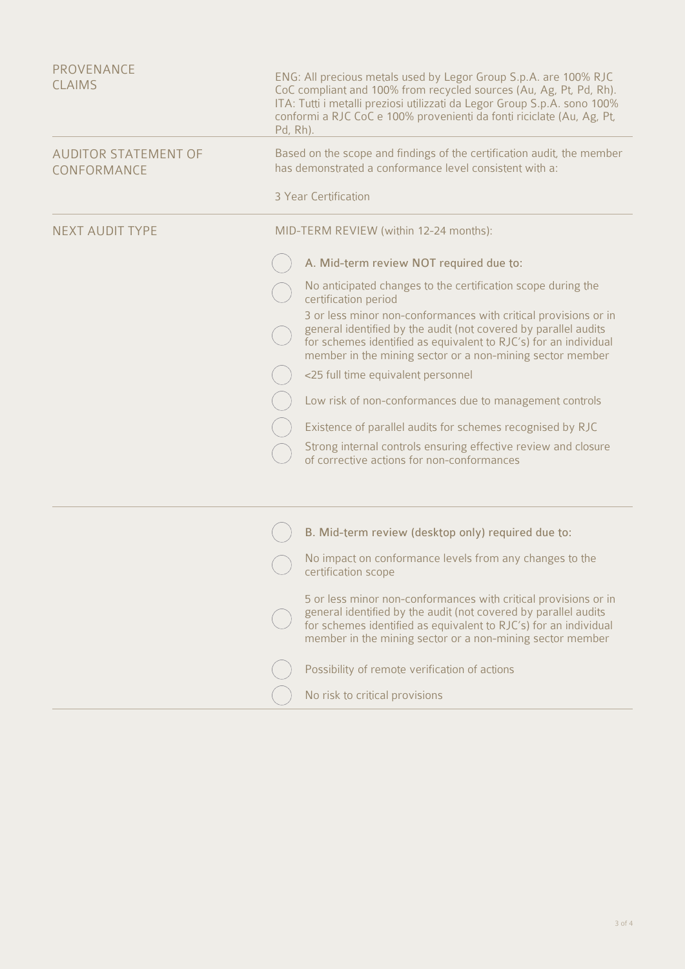| PROVENANCE<br><b>CLAIMS</b>                | ENG: All precious metals used by Legor Group S.p.A. are 100% RJC<br>CoC compliant and 100% from recycled sources (Au, Ag, Pt, Pd, Rh).<br>ITA: Tutti i metalli preziosi utilizzati da Legor Group S.p.A. sono 100%<br>conformi a RJC CoC e 100% provenienți da fonți riciclate (Au, Ag, Pt,<br>Pd, Rh). |                                                                                                                                                                                                                                                                     |  |
|--------------------------------------------|---------------------------------------------------------------------------------------------------------------------------------------------------------------------------------------------------------------------------------------------------------------------------------------------------------|---------------------------------------------------------------------------------------------------------------------------------------------------------------------------------------------------------------------------------------------------------------------|--|
| <b>AUDITOR STATEMENT OF</b><br>CONFORMANCE | Based on the scope and findings of the certification audit, the member<br>has demonstrated a conformance level consistent with a:                                                                                                                                                                       |                                                                                                                                                                                                                                                                     |  |
|                                            |                                                                                                                                                                                                                                                                                                         | 3 Year Certification                                                                                                                                                                                                                                                |  |
| <b>NEXT AUDIT TYPE</b>                     | MID-TERM REVIEW (within 12-24 months):                                                                                                                                                                                                                                                                  |                                                                                                                                                                                                                                                                     |  |
|                                            |                                                                                                                                                                                                                                                                                                         | A. Mid-term review NOT required due to:                                                                                                                                                                                                                             |  |
|                                            |                                                                                                                                                                                                                                                                                                         | No anticipated changes to the certification scope during the<br>certification period                                                                                                                                                                                |  |
|                                            |                                                                                                                                                                                                                                                                                                         | 3 or less minor non-conformances with critical provisions or in<br>general identified by the audit (not covered by parallel audits<br>for schemes identified as equivalent to RJC's) for an individual<br>member in the mining sector or a non-mining sector member |  |
|                                            |                                                                                                                                                                                                                                                                                                         | <25 full time equivalent personnel                                                                                                                                                                                                                                  |  |
|                                            |                                                                                                                                                                                                                                                                                                         | Low risk of non-conformances due to management controls                                                                                                                                                                                                             |  |
|                                            |                                                                                                                                                                                                                                                                                                         | Existence of parallel audits for schemes recognised by RJC                                                                                                                                                                                                          |  |
|                                            |                                                                                                                                                                                                                                                                                                         | Strong internal controls ensuring effective review and closure<br>of corrective actions for non-conformances                                                                                                                                                        |  |
|                                            |                                                                                                                                                                                                                                                                                                         |                                                                                                                                                                                                                                                                     |  |
|                                            |                                                                                                                                                                                                                                                                                                         | B. Mid-term review (desktop only) required due to:                                                                                                                                                                                                                  |  |
|                                            |                                                                                                                                                                                                                                                                                                         | No impact on conformance levels from any changes to the<br>certification scope                                                                                                                                                                                      |  |
|                                            |                                                                                                                                                                                                                                                                                                         | 5 or less minor non-conformances with critical provisions or in<br>general identified by the audit (not covered by parallel audits<br>for schemes identified as equivalent to RJC's) for an individual<br>member in the mining sector or a non-mining sector member |  |
|                                            |                                                                                                                                                                                                                                                                                                         | Possibility of remote verification of actions                                                                                                                                                                                                                       |  |
|                                            |                                                                                                                                                                                                                                                                                                         | No risk to critical provisions                                                                                                                                                                                                                                      |  |